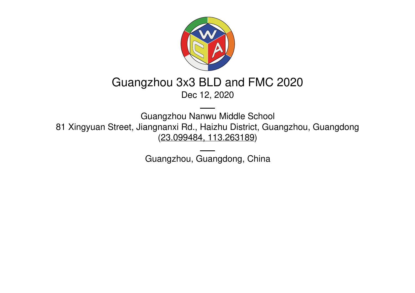

# Guangzhou 3x3 BLD and FMC 2020

Dec 12, 2020

Guangzhou Nanwu Middle School 81 Xingyuan Street, Jiangnanxi Rd., Haizhu District, Guangzhou, Guangdong (23.099484, [113.263189](https://www.google.com/maps/place/23.099484,113.263189))

Guangzhou, Guangdong, China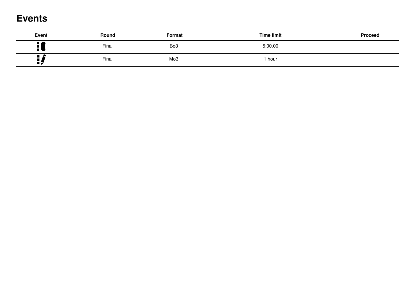### **Events**

| <b>Event</b>                           | Round | Format          | <b>Time limit</b> | Proceed |
|----------------------------------------|-------|-----------------|-------------------|---------|
| ■■<br>$\blacksquare$<br>$\blacksquare$ | Final | Bo <sub>3</sub> | 5:00.00           |         |
| $\blacksquare$<br>ПŞ                   | Final | Mo <sub>3</sub> | hour              |         |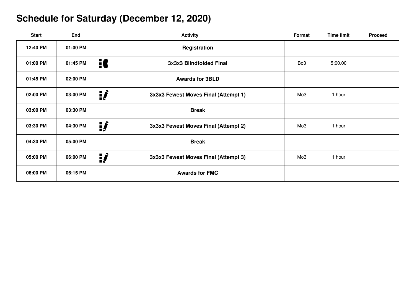## **Schedule for Saturday (December 12, 2020)**

| <b>Start</b> | End      | <b>Activity</b>                                  | Format          | <b>Time limit</b> | <b>Proceed</b> |
|--------------|----------|--------------------------------------------------|-----------------|-------------------|----------------|
| 12:40 PM     | 01:00 PM | Registration                                     |                 |                   |                |
| 01:00 PM     | 01:45 PM | H<br>3x3x3 Blindfolded Final                     | Bo <sub>3</sub> | 5:00.00           |                |
| 01:45 PM     | 02:00 PM | <b>Awards for 3BLD</b>                           |                 |                   |                |
| 02:00 PM     | 03:00 PM | ij<br>3x3x3 Fewest Moves Final (Attempt 1)       | Mo <sub>3</sub> | 1 hour            |                |
| 03:00 PM     | 03:30 PM | <b>Break</b>                                     |                 |                   |                |
| 03:30 PM     | 04:30 PM | ij,<br>3x3x3 Fewest Moves Final (Attempt 2)      | Mo <sub>3</sub> | 1 hour            |                |
| 04:30 PM     | 05:00 PM | <b>Break</b>                                     |                 |                   |                |
| 05:00 PM     | 06:00 PM | <u>:</u><br>3x3x3 Fewest Moves Final (Attempt 3) | Mo <sub>3</sub> | 1 hour            |                |
| 06:00 PM     | 06:15 PM | <b>Awards for FMC</b>                            |                 |                   |                |